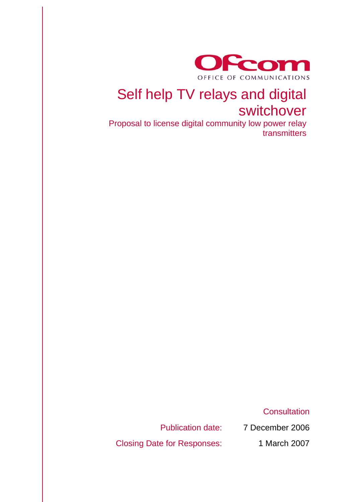

# Self help TV relays and digital switchover

Proposal to license digital community low power relay transmitters

**Consultation** 

Publication date: 7 December 2006

Closing Date for Responses: 1 March 2007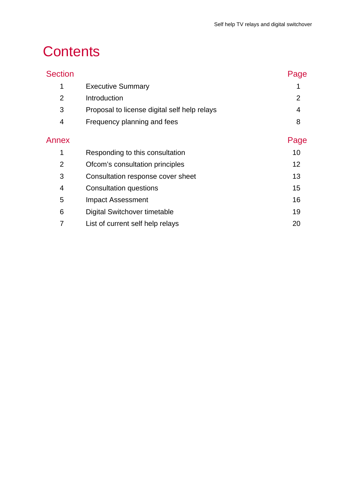# **Contents**

| <b>Section</b> |                                              | Page           |
|----------------|----------------------------------------------|----------------|
| 1              | <b>Executive Summary</b>                     |                |
| $\overline{2}$ | Introduction                                 | $\overline{2}$ |
| 3              | Proposal to license digital self help relays | 4              |
| 4              | Frequency planning and fees                  | 8              |
| Annex          |                                              | Page           |
| 1              | Responding to this consultation              | 10             |
| $\overline{2}$ | Ofcom's consultation principles              | 12             |
| 3              | Consultation response cover sheet            | 13             |
| 4              | Consultation questions                       | 15             |
| 5              | <b>Impact Assessment</b>                     | 16             |
| 6              | Digital Switchover timetable                 | 19             |
|                | List of current self help relays             | 20             |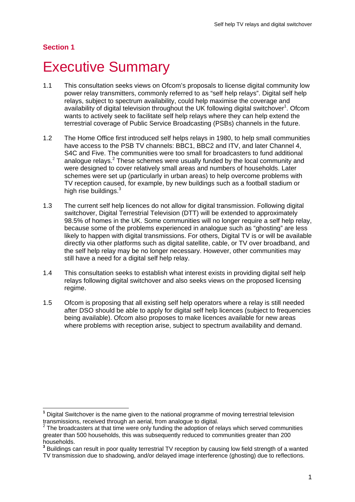## **Section 1**

 $\overline{a}$ 

# **Executive Summary**

- 1.1 This consultation seeks views on Ofcom's proposals to license digital community low power relay transmitters, commonly referred to as "self help relays". Digital self help relays, subject to spectrum availability, could help maximise the coverage and availability of digital television throughout the UK following digital switchover<sup>1</sup>. Ofcom wants to actively seek to facilitate self help relays where they can help extend the terrestrial coverage of Public Service Broadcasting (PSBs) channels in the future.
- 1.2 The Home Office first introduced self helps relays in 1980, to help small communities have access to the PSB TV channels: BBC1, BBC2 and ITV, and later Channel 4, S4C and Five. The communities were too small for broadcasters to fund additional analogue relays. $2$  These schemes were usually funded by the local community and were designed to cover relatively small areas and numbers of households. Later schemes were set up (particularly in urban areas) to help overcome problems with TV reception caused, for example, by new buildings such as a football stadium or high rise buildings.<sup>3</sup>
- 1.3 The current self help licences do not allow for digital transmission. Following digital switchover, Digital Terrestrial Television (DTT) will be extended to approximately 98.5% of homes in the UK. Some communities will no longer require a self help relay, because some of the problems experienced in analogue such as "ghosting" are less likely to happen with digital transmissions. For others, Digital TV is or will be available directly via other platforms such as digital satellite, cable, or TV over broadband, and the self help relay may be no longer necessary. However, other communities may still have a need for a digital self help relay.
- 1.4 This consultation seeks to establish what interest exists in providing digital self help relays following digital switchover and also seeks views on the proposed licensing regime.
- 1.5 Ofcom is proposing that all existing self help operators where a relay is still needed after DSO should be able to apply for digital self help licences (subject to frequencies being available). Ofcom also proposes to make licences available for new areas where problems with reception arise, subject to spectrum availability and demand.

**<sup>1</sup>** Digital Switchover is the name given to the national programme of moving terrestrial television transmissions, received through an aerial, from analogue to digital.

 $2$  The broadcasters at that time were only funding the adoption of relays which served communities greater than 500 households, this was subsequently reduced to communities greater than 200 households.

**<sup>3</sup>** Buildings can result in poor quality terrestrial TV reception by causing low field strength of a wanted TV transmission due to shadowing, and/or delayed image interference (ghosting) due to reflections.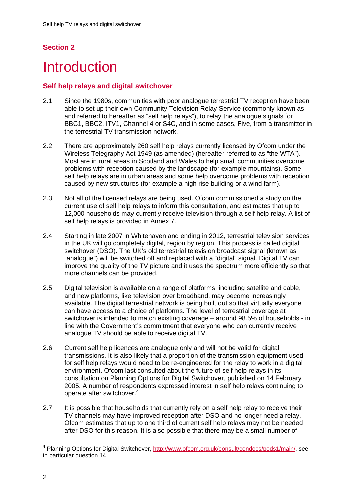## **Section 2**

# **Introduction**

### **Self help relays and digital switchover**

- 2.1 Since the 1980s, communities with poor analogue terrestrial TV reception have been able to set up their own Community Television Relay Service (commonly known as and referred to hereafter as "self help relays"), to relay the analogue signals for BBC1, BBC2, ITV1, Channel 4 or S4C, and in some cases, Five, from a transmitter in the terrestrial TV transmission network.
- 2.2 There are approximately 260 self help relays currently licensed by Ofcom under the Wireless Telegraphy Act 1949 (as amended) (hereafter referred to as "the WTA"). Most are in rural areas in Scotland and Wales to help small communities overcome problems with reception caused by the landscape (for example mountains). Some self help relays are in urban areas and some help overcome problems with reception caused by new structures (for example a high rise building or a wind farm).
- 2.3 Not all of the licensed relays are being used. Ofcom commissioned a study on the current use of self help relays to inform this consultation, and estimates that up to 12,000 households may currently receive television through a self help relay. A list of self help relays is provided in Annex 7.
- 2.4 Starting in late 2007 in Whitehaven and ending in 2012, terrestrial television services in the UK will go completely digital, region by region. This process is called digital switchover (DSO). The UK's old terrestrial television broadcast signal (known as "analogue") will be switched off and replaced with a "digital" signal. Digital TV can improve the quality of the TV picture and it uses the spectrum more efficiently so that more channels can be provided.
- 2.5 Digital television is available on a range of platforms, including satellite and cable, and new platforms, like television over broadband, may become increasingly available. The digital terrestrial network is being built out so that virtually everyone can have access to a choice of platforms. The level of terrestrial coverage at switchover is intended to match existing coverage – around 98.5% of households - in line with the Government's commitment that everyone who can currently receive analogue TV should be able to receive digital TV.
- 2.6 Current self help licences are analogue only and will not be valid for digital transmissions. It is also likely that a proportion of the transmission equipment used for self help relays would need to be re-engineered for the relay to work in a digital environment. Ofcom last consulted about the future of self help relays in its consultation on Planning Options for Digital Switchover, published on 14 February 2005. A number of respondents expressed interest in self help relays continuing to operate after switchover.<sup>4</sup>
- 2.7 It is possible that households that currently rely on a self help relay to receive their TV channels may have improved reception after DSO and no longer need a relay. Ofcom estimates that up to one third of current self help relays may not be needed after DSO for this reason. It is also possible that there may be a small number of

<sup>1</sup> **<sup>4</sup>** Planning Options for Digital Switchover, http://www.ofcom.org.uk/consult/condocs/pods1/main/, see in particular question 14.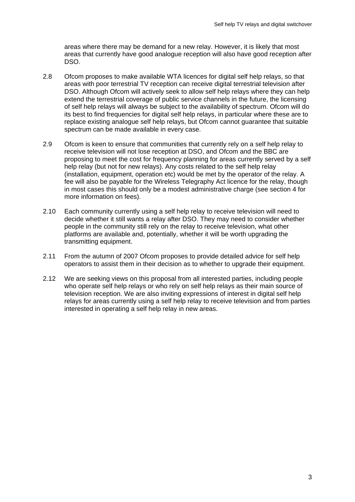areas where there may be demand for a new relay. However, it is likely that most areas that currently have good analogue reception will also have good reception after DSO.

- 2.8 Ofcom proposes to make available WTA licences for digital self help relays, so that areas with poor terrestrial TV reception can receive digital terrestrial television after DSO. Although Ofcom will actively seek to allow self help relays where they can help extend the terrestrial coverage of public service channels in the future, the licensing of self help relays will always be subject to the availability of spectrum. Ofcom will do its best to find frequencies for digital self help relays, in particular where these are to replace existing analogue self help relays, but Ofcom cannot guarantee that suitable spectrum can be made available in every case.
- 2.9 Ofcom is keen to ensure that communities that currently rely on a self help relay to receive television will not lose reception at DSO, and Ofcom and the BBC are proposing to meet the cost for frequency planning for areas currently served by a self help relay (but not for new relays). Any costs related to the self help relay (installation, equipment, operation etc) would be met by the operator of the relay. A fee will also be payable for the Wireless Telegraphy Act licence for the relay, though in most cases this should only be a modest administrative charge (see section 4 for more information on fees).
- 2.10 Each community currently using a self help relay to receive television will need to decide whether it still wants a relay after DSO. They may need to consider whether people in the community still rely on the relay to receive television, what other platforms are available and, potentially, whether it will be worth upgrading the transmitting equipment.
- 2.11 From the autumn of 2007 Ofcom proposes to provide detailed advice for self help operators to assist them in their decision as to whether to upgrade their equipment.
- 2.12 We are seeking views on this proposal from all interested parties, including people who operate self help relays or who rely on self help relays as their main source of television reception. We are also inviting expressions of interest in digital self help relays for areas currently using a self help relay to receive television and from parties interested in operating a self help relay in new areas.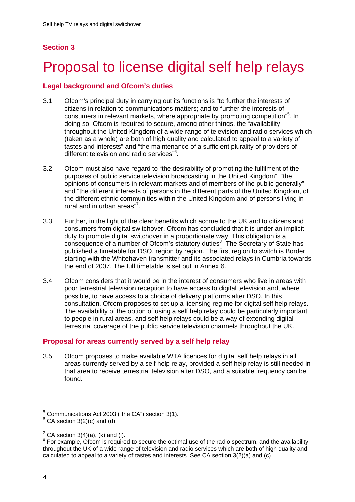## **Section 3**

# 3 Proposal to license digital self help relays

### **Legal background and Ofcom's duties**

- 3.1 Ofcom's principal duty in carrying out its functions is "to further the interests of citizens in relation to communications matters; and to further the interests of consumers in relevant markets, where appropriate by promoting competition<sup>15</sup>. In doing so, Ofcom is required to secure, among other things, the "availability throughout the United Kingdom of a wide range of television and radio services which (taken as a whole) are both of high quality and calculated to appeal to a variety of tastes and interests" and "the maintenance of a sufficient plurality of providers of different television and radio services"<sup>6</sup>.
- 3.2 Ofcom must also have regard to "the desirability of promoting the fulfilment of the purposes of public service television broadcasting in the United Kingdom", "the opinions of consumers in relevant markets and of members of the public generally" and "the different interests of persons in the different parts of the United Kingdom, of the different ethnic communities within the United Kingdom and of persons living in rural and in urban areas"<sup>7</sup>.
- 3.3 Further, in the light of the clear benefits which accrue to the UK and to citizens and consumers from digital switchover, Ofcom has concluded that it is under an implicit duty to promote digital switchover in a proportionate way. This obligation is a consequence of a number of Ofcom's statutory duties<sup>8</sup>. The Secretary of State has published a timetable for DSO, region by region. The first region to switch is Border, starting with the Whitehaven transmitter and its associated relays in Cumbria towards the end of 2007. The full timetable is set out in Annex 6.
- 3.4 Ofcom considers that it would be in the interest of consumers who live in areas with poor terrestrial television reception to have access to digital television and, where possible, to have access to a choice of delivery platforms after DSO. In this consultation, Ofcom proposes to set up a licensing regime for digital self help relays. The availability of the option of using a self help relay could be particularly important to people in rural areas, and self help relays could be a way of extending digital terrestrial coverage of the public service television channels throughout the UK.

### **Proposal for areas currently served by a self help relay**

3.5 Ofcom proposes to make available WTA licences for digital self help relays in all areas currently served by a self help relay, provided a self help relay is still needed in that area to receive terrestrial television after DSO, and a suitable frequency can be found.

1

 $5$  Communications Act 2003 ("the CA") section 3(1).

 $6$  CA section 3(2)(c) and (d).

 $7$  CA section 3(4)(a), (k) and (l).

<sup>&</sup>lt;sup>8</sup> For example, Ofcom is required to secure the optimal use of the radio spectrum, and the availability throughout the UK of a wide range of television and radio services which are both of high quality and calculated to appeal to a variety of tastes and interests. See CA section 3(2)(a) and (c).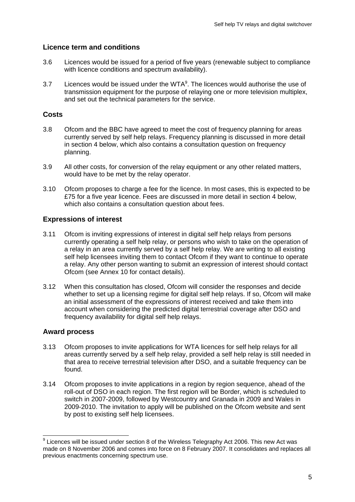### **Licence term and conditions**

- 3.6 Licences would be issued for a period of five years (renewable subject to compliance with licence conditions and spectrum availability).
- 3.7 Licences would be issued under the WTA $<sup>9</sup>$ . The licences would authorise the use of</sup> transmission equipment for the purpose of relaying one or more television multiplex, and set out the technical parameters for the service.

### **Costs**

- 3.8 Ofcom and the BBC have agreed to meet the cost of frequency planning for areas currently served by self help relays. Frequency planning is discussed in more detail in section 4 below, which also contains a consultation question on frequency planning.
- 3.9 All other costs, for conversion of the relay equipment or any other related matters, would have to be met by the relay operator.
- 3.10 Ofcom proposes to charge a fee for the licence. In most cases, this is expected to be £75 for a five year licence. Fees are discussed in more detail in section 4 below, which also contains a consultation question about fees.

### **Expressions of interest**

- 3.11 Ofcom is inviting expressions of interest in digital self help relays from persons currently operating a self help relay, or persons who wish to take on the operation of a relay in an area currently served by a self help relay. We are writing to all existing self help licensees inviting them to contact Ofcom if they want to continue to operate a relay. Any other person wanting to submit an expression of interest should contact Ofcom (see Annex 10 for contact details).
- 3.12 When this consultation has closed, Ofcom will consider the responses and decide whether to set up a licensing regime for digital self help relays. If so, Ofcom will make an initial assessment of the expressions of interest received and take them into account when considering the predicted digital terrestrial coverage after DSO and frequency availability for digital self help relays.

#### **Award process**

1

- 3.13 Ofcom proposes to invite applications for WTA licences for self help relays for all areas currently served by a self help relay, provided a self help relay is still needed in that area to receive terrestrial television after DSO, and a suitable frequency can be found.
- 3.14 Ofcom proposes to invite applications in a region by region sequence, ahead of the roll-out of DSO in each region. The first region will be Border, which is scheduled to switch in 2007-2009, followed by Westcountry and Granada in 2009 and Wales in 2009-2010. The invitation to apply will be published on the Ofcom website and sent by post to existing self help licensees.

 $9$  Licences will be issued under section 8 of the Wireless Telegraphy Act 2006. This new Act was made on 8 November 2006 and comes into force on 8 February 2007. It consolidates and replaces all previous enactments concerning spectrum use.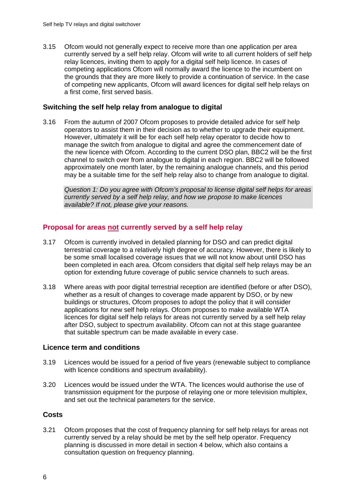3.15 Ofcom would not generally expect to receive more than one application per area currently served by a self help relay. Ofcom will write to all current holders of self help relay licences, inviting them to apply for a digital self help licence. In cases of competing applications Ofcom will normally award the licence to the incumbent on the grounds that they are more likely to provide a continuation of service. In the case of competing new applicants, Ofcom will award licences for digital self help relays on a first come, first served basis.

#### **Switching the self help relay from analogue to digital**

3.16 From the autumn of 2007 Ofcom proposes to provide detailed advice for self help operators to assist them in their decision as to whether to upgrade their equipment. However, ultimately it will be for each self help relay operator to decide how to manage the switch from analogue to digital and agree the commencement date of the new licence with Ofcom. According to the current DSO plan, BBC2 will be the first channel to switch over from analogue to digital in each region. BBC2 will be followed approximately one month later, by the remaining analogue channels, and this period may be a suitable time for the self help relay also to change from analogue to digital.

*Question 1: Do you agree with Ofcom's proposal to license digital self helps for areas currently served by a self help relay, and how we propose to make licences available? If not, please give your reasons.* 

#### **Proposal for areas not currently served by a self help relay**

- 3.17 Ofcom is currently involved in detailed planning for DSO and can predict digital terrestrial coverage to a relatively high degree of accuracy. However, there is likely to be some small localised coverage issues that we will not know about until DSO has been completed in each area. Ofcom considers that digital self help relays may be an option for extending future coverage of public service channels to such areas.
- 3.18 Where areas with poor digital terrestrial reception are identified (before or after DSO), whether as a result of changes to coverage made apparent by DSO, or by new buildings or structures, Ofcom proposes to adopt the policy that it will consider applications for new self help relays. Ofcom proposes to make available WTA licences for digital self help relays for areas not currently served by a self help relay after DSO, subject to spectrum availability. Ofcom can not at this stage guarantee that suitable spectrum can be made available in every case.

#### **Licence term and conditions**

- 3.19 Licences would be issued for a period of five years (renewable subject to compliance with licence conditions and spectrum availability).
- 3.20 Licences would be issued under the WTA. The licences would authorise the use of transmission equipment for the purpose of relaying one or more television multiplex, and set out the technical parameters for the service.

#### **Costs**

3.21 Ofcom proposes that the cost of frequency planning for self help relays for areas not currently served by a relay should be met by the self help operator. Frequency planning is discussed in more detail in section 4 below, which also contains a consultation question on frequency planning.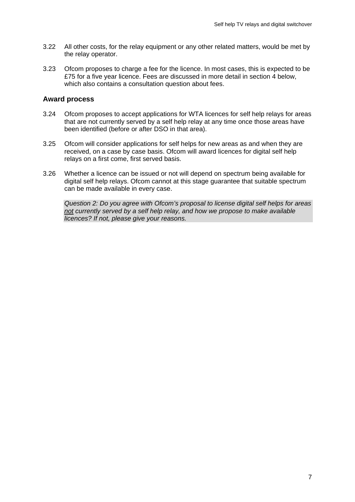- 3.22 All other costs, for the relay equipment or any other related matters, would be met by the relay operator.
- 3.23 Ofcom proposes to charge a fee for the licence. In most cases, this is expected to be £75 for a five year licence. Fees are discussed in more detail in section 4 below, which also contains a consultation question about fees.

#### **Award process**

- 3.24 Ofcom proposes to accept applications for WTA licences for self help relays for areas that are not currently served by a self help relay at any time once those areas have been identified (before or after DSO in that area).
- 3.25 Ofcom will consider applications for self helps for new areas as and when they are received, on a case by case basis. Ofcom will award licences for digital self help relays on a first come, first served basis.
- 3.26 Whether a licence can be issued or not will depend on spectrum being available for digital self help relays. Ofcom cannot at this stage guarantee that suitable spectrum can be made available in every case.

*Question 2: Do you agree with Ofcom's proposal to license digital self helps for areas not currently served by a self help relay, and how we propose to make available licences? If not, please give your reasons.*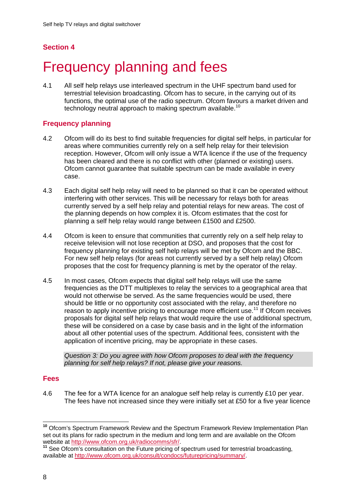## **Section 4**

# **Frequency planning and fees**

4.1 All self help relays use interleaved spectrum in the UHF spectrum band used for terrestrial television broadcasting. Ofcom has to secure, in the carrying out of its functions, the optimal use of the radio spectrum. Ofcom favours a market driven and technology neutral approach to making spectrum available.<sup>10</sup>

### **Frequency planning**

- 4.2 Ofcom will do its best to find suitable frequencies for digital self helps, in particular for areas where communities currently rely on a self help relay for their television reception. However, Ofcom will only issue a WTA licence if the use of the frequency has been cleared and there is no conflict with other (planned or existing) users. Ofcom cannot guarantee that suitable spectrum can be made available in every case.
- 4.3 Each digital self help relay will need to be planned so that it can be operated without interfering with other services. This will be necessary for relays both for areas currently served by a self help relay and potential relays for new areas. The cost of the planning depends on how complex it is. Ofcom estimates that the cost for planning a self help relay would range between £1500 and £2500.
- 4.4 Ofcom is keen to ensure that communities that currently rely on a self help relay to receive television will not lose reception at DSO, and proposes that the cost for frequency planning for existing self help relays will be met by Ofcom and the BBC. For new self help relays (for areas not currently served by a self help relay) Ofcom proposes that the cost for frequency planning is met by the operator of the relay.
- 4.5 In most cases, Ofcom expects that digital self help relays will use the same frequencies as the DTT multiplexes to relay the services to a geographical area that would not otherwise be served. As the same frequencies would be used, there should be little or no opportunity cost associated with the relay, and therefore no reason to apply incentive pricing to encourage more efficient use.<sup>11</sup> If Ofcom receives proposals for digital self help relays that would require the use of additional spectrum, these will be considered on a case by case basis and in the light of the information about all other potential uses of the spectrum. Additional fees, consistent with the application of incentive pricing, may be appropriate in these cases.

*Question 3: Do you agree with how Ofcom proposes to deal with the frequency planning for self help relays? If not, please give your reasons.* 

#### **Fees**

4.6 The fee for a WTA licence for an analogue self help relay is currently £10 per year. The fees have not increased since they were initially set at £50 for a five year licence

<sup>1</sup> **<sup>10</sup>** Ofcom's Spectrum Framework Review and the Spectrum Framework Review Implementation Plan set out its plans for radio spectrum in the medium and long term and are available on the Ofcom<br>website at http://www.ofcom.org.uk/radiocomms/sfr/.

<sup>&</sup>lt;sup>11</sup> See Ofcom's consultation on the Future pricing of spectrum used for terrestrial broadcasting, available at http://www.ofcom.org.uk/consult/condocs/futurepricing/summary/.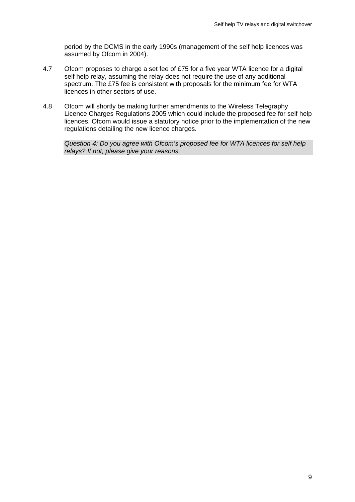period by the DCMS in the early 1990s (management of the self help licences was assumed by Ofcom in 2004).

- 4.7 Ofcom proposes to charge a set fee of £75 for a five year WTA licence for a digital self help relay, assuming the relay does not require the use of any additional spectrum. The £75 fee is consistent with proposals for the minimum fee for WTA licences in other sectors of use.
- 4.8 Ofcom will shortly be making further amendments to the Wireless Telegraphy Licence Charges Regulations 2005 which could include the proposed fee for self help licences. Ofcom would issue a statutory notice prior to the implementation of the new regulations detailing the new licence charges.

*Question 4: Do you agree with Ofcom's proposed fee for WTA licences for self help relays? If not, please give your reasons.*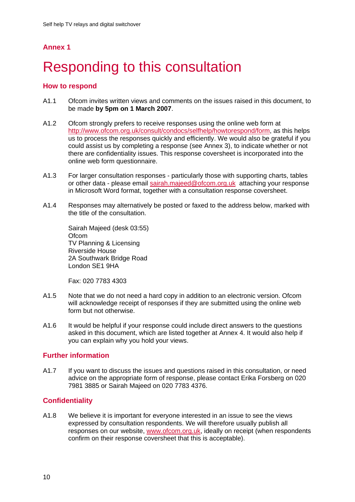# **Responding to this consultation**

### **How to respond**

- A1.1 Ofcom invites written views and comments on the issues raised in this document, to be made **by 5pm on 1 March 2007**.
- A1.2 Ofcom strongly prefers to receive responses using the online web form at http://www.ofcom.org.uk/consult/condocs/selfhelp/howtorespond/form, as this helps us to process the responses quickly and efficiently. We would also be grateful if you could assist us by completing a response (see Annex 3), to indicate whether or not there are confidentiality issues. This response coversheet is incorporated into the online web form questionnaire.
- A1.3 For larger consultation responses particularly those with supporting charts, tables or other data - please email sairah.majeed@ofcom.org.uk attaching your response in Microsoft Word format, together with a consultation response coversheet.
- A1.4 Responses may alternatively be posted or faxed to the address below, marked with the title of the consultation.

Sairah Majeed (desk 03:55) **Ofcom** TV Planning & Licensing Riverside House 2A Southwark Bridge Road London SE1 9HA

Fax: 020 7783 4303

- A1.5 Note that we do not need a hard copy in addition to an electronic version. Ofcom will acknowledge receipt of responses if they are submitted using the online web form but not otherwise.
- A1.6 It would be helpful if your response could include direct answers to the questions asked in this document, which are listed together at Annex 4. It would also help if you can explain why you hold your views.

#### **Further information**

A1.7 If you want to discuss the issues and questions raised in this consultation, or need advice on the appropriate form of response, please contact Erika Forsberg on 020 7981 3885 or Sairah Majeed on 020 7783 4376.

### **Confidentiality**

A1.8 We believe it is important for everyone interested in an issue to see the views expressed by consultation respondents. We will therefore usually publish all responses on our website, www.ofcom.org.uk, ideally on receipt (when respondents confirm on their response coversheet that this is acceptable).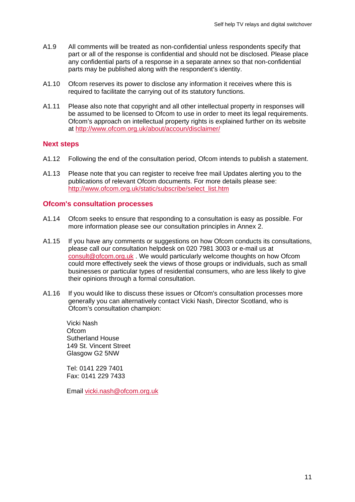- A1.9 All comments will be treated as non-confidential unless respondents specify that part or all of the response is confidential and should not be disclosed. Please place any confidential parts of a response in a separate annex so that non-confidential parts may be published along with the respondent's identity.
- A1.10 Ofcom reserves its power to disclose any information it receives where this is required to facilitate the carrying out of its statutory functions.
- A1.11 Please also note that copyright and all other intellectual property in responses will be assumed to be licensed to Ofcom to use in order to meet its legal requirements. Ofcom's approach on intellectual property rights is explained further on its website at http://www.ofcom.org.uk/about/accoun/disclaimer/

#### **Next steps**

- A1.12 Following the end of the consultation period, Ofcom intends to publish a statement.
- A1.13 Please note that you can register to receive free mail Updates alerting you to the publications of relevant Ofcom documents. For more details please see: http://www.ofcom.org.uk/static/subscribe/select\_list.htm

#### **Ofcom's consultation processes**

- A1.14 Ofcom seeks to ensure that responding to a consultation is easy as possible. For more information please see our consultation principles in Annex 2.
- A1.15 If you have any comments or suggestions on how Ofcom conducts its consultations, please call our consultation helpdesk on 020 7981 3003 or e-mail us at consult@ofcom.org.uk . We would particularly welcome thoughts on how Ofcom could more effectively seek the views of those groups or individuals, such as small businesses or particular types of residential consumers, who are less likely to give their opinions through a formal consultation.
- A1.16 If you would like to discuss these issues or Ofcom's consultation processes more generally you can alternatively contact Vicki Nash, Director Scotland, who is Ofcom's consultation champion:

Vicki Nash Ofcom Sutherland House 149 St. Vincent Street Glasgow G2 5NW

Tel: 0141 229 7401 Fax: 0141 229 7433

Email vicki.nash@ofcom.org.uk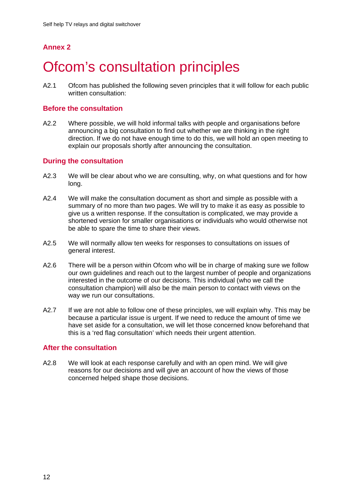# **Ofcom's consultation principles**

A2.1 Ofcom has published the following seven principles that it will follow for each public written consultation:

#### **Before the consultation**

A2.2 Where possible, we will hold informal talks with people and organisations before announcing a big consultation to find out whether we are thinking in the right direction. If we do not have enough time to do this, we will hold an open meeting to explain our proposals shortly after announcing the consultation.

#### **During the consultation**

- A2.3 We will be clear about who we are consulting, why, on what questions and for how long.
- A2.4 We will make the consultation document as short and simple as possible with a summary of no more than two pages. We will try to make it as easy as possible to give us a written response. If the consultation is complicated, we may provide a shortened version for smaller organisations or individuals who would otherwise not be able to spare the time to share their views.
- A2.5 We will normally allow ten weeks for responses to consultations on issues of general interest.
- A2.6 There will be a person within Ofcom who will be in charge of making sure we follow our own guidelines and reach out to the largest number of people and organizations interested in the outcome of our decisions. This individual (who we call the consultation champion) will also be the main person to contact with views on the way we run our consultations.
- A2.7 If we are not able to follow one of these principles, we will explain why. This may be because a particular issue is urgent. If we need to reduce the amount of time we have set aside for a consultation, we will let those concerned know beforehand that this is a 'red flag consultation' which needs their urgent attention.

#### **After the consultation**

A2.8 We will look at each response carefully and with an open mind. We will give reasons for our decisions and will give an account of how the views of those concerned helped shape those decisions.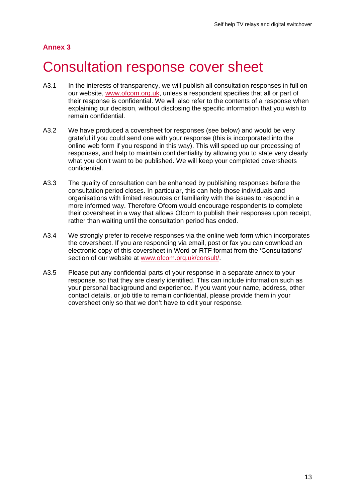# 3 Consultation response cover sheet

- A3.1 In the interests of transparency, we will publish all consultation responses in full on our website, www.ofcom.org.uk, unless a respondent specifies that all or part of their response is confidential. We will also refer to the contents of a response when explaining our decision, without disclosing the specific information that you wish to remain confidential.
- A3.2 We have produced a coversheet for responses (see below) and would be very grateful if you could send one with your response (this is incorporated into the online web form if you respond in this way). This will speed up our processing of responses, and help to maintain confidentiality by allowing you to state very clearly what you don't want to be published. We will keep your completed coversheets confidential.
- A3.3 The quality of consultation can be enhanced by publishing responses before the consultation period closes. In particular, this can help those individuals and organisations with limited resources or familiarity with the issues to respond in a more informed way. Therefore Ofcom would encourage respondents to complete their coversheet in a way that allows Ofcom to publish their responses upon receipt, rather than waiting until the consultation period has ended.
- A3.4 We strongly prefer to receive responses via the online web form which incorporates the coversheet. If you are responding via email, post or fax you can download an electronic copy of this coversheet in Word or RTF format from the 'Consultations' section of our website at www.ofcom.org.uk/consult/.
- A3.5 Please put any confidential parts of your response in a separate annex to your response, so that they are clearly identified. This can include information such as your personal background and experience. If you want your name, address, other contact details, or job title to remain confidential, please provide them in your coversheet only so that we don't have to edit your response.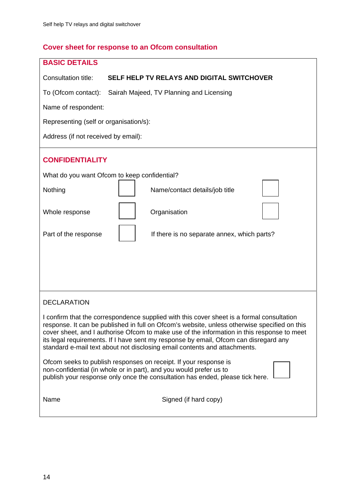# **Cover sheet for response to an Ofcom consultation**

| <b>BASIC DETAILS</b>                                                                                                                                                                                                                                                                                                                                                                                                                                         |
|--------------------------------------------------------------------------------------------------------------------------------------------------------------------------------------------------------------------------------------------------------------------------------------------------------------------------------------------------------------------------------------------------------------------------------------------------------------|
| Consultation title:<br>SELF HELP TV RELAYS AND DIGITAL SWITCHOVER                                                                                                                                                                                                                                                                                                                                                                                            |
| To (Ofcom contact):<br>Sairah Majeed, TV Planning and Licensing                                                                                                                                                                                                                                                                                                                                                                                              |
| Name of respondent:                                                                                                                                                                                                                                                                                                                                                                                                                                          |
| Representing (self or organisation/s):                                                                                                                                                                                                                                                                                                                                                                                                                       |
| Address (if not received by email):                                                                                                                                                                                                                                                                                                                                                                                                                          |
| <b>CONFIDENTIALITY</b>                                                                                                                                                                                                                                                                                                                                                                                                                                       |
| What do you want Ofcom to keep confidential?                                                                                                                                                                                                                                                                                                                                                                                                                 |
| Nothing<br>Name/contact details/job title                                                                                                                                                                                                                                                                                                                                                                                                                    |
| Organisation<br>Whole response                                                                                                                                                                                                                                                                                                                                                                                                                               |
| Part of the response<br>If there is no separate annex, which parts?                                                                                                                                                                                                                                                                                                                                                                                          |
|                                                                                                                                                                                                                                                                                                                                                                                                                                                              |
|                                                                                                                                                                                                                                                                                                                                                                                                                                                              |
|                                                                                                                                                                                                                                                                                                                                                                                                                                                              |
| <b>DECLARATION</b>                                                                                                                                                                                                                                                                                                                                                                                                                                           |
| I confirm that the correspondence supplied with this cover sheet is a formal consultation<br>response. It can be published in full on Ofcom's website, unless otherwise specified on this<br>cover sheet, and I authorise Ofcom to make use of the information in this response to meet<br>its legal requirements. If I have sent my response by email, Ofcom can disregard any<br>standard e-mail text about not disclosing email contents and attachments. |
| Ofcom seeks to publish responses on receipt. If your response is<br>non-confidential (in whole or in part), and you would prefer us to<br>publish your response only once the consultation has ended, please tick here.                                                                                                                                                                                                                                      |
| Signed (if hard copy)<br>Name                                                                                                                                                                                                                                                                                                                                                                                                                                |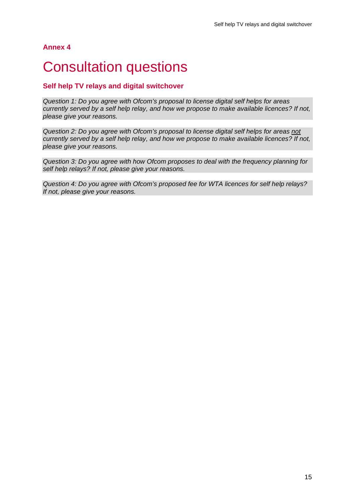# **Consultation questions**

### **Self help TV relays and digital switchover**

*Question 1: Do you agree with Ofcom's proposal to license digital self helps for areas currently served by a self help relay, and how we propose to make available licences? If not, please give your reasons.* 

*Question 2: Do you agree with Ofcom's proposal to license digital self helps for areas not currently served by a self help relay, and how we propose to make available licences? If not, please give your reasons.* 

*Question 3: Do you agree with how Ofcom proposes to deal with the frequency planning for self help relays? If not, please give your reasons.* 

*Question 4: Do you agree with Ofcom's proposed fee for WTA licences for self help relays? If not, please give your reasons.*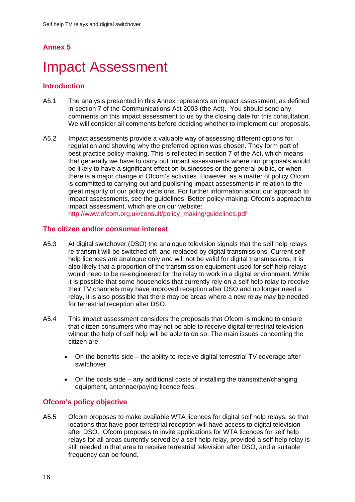# **Impact Assessment**

#### **Introduction**

- A5.1 The analysis presented in this Annex represents an impact assessment, as defined in section 7 of the Communications Act 2003 (the Act). You should send any comments on this impact assessment to us by the closing date for this consultation. We will consider all comments before deciding whether to implement our proposals.
- A5.2 Impact assessments provide a valuable way of assessing different options for regulation and showing why the preferred option was chosen. They form part of best practice policy-making. This is reflected in section 7 of the Act, which means that generally we have to carry out impact assessments where our proposals would be likely to have a significant effect on businesses or the general public, or when there is a major change in Ofcom's activities. However, as a matter of policy Ofcom is committed to carrying out and publishing impact assessments in relation to the great majority of our policy decisions. For further information about our approach to impact assessments, see the guidelines, Better policy-making: Ofcom's approach to impact assessment, which are on our website: http://www.ofcom.org.uk/consult/policy\_making/guidelines.pdf

#### **The citizen and/or consumer interest**

- A5.3 At digital switchover (DSO) the analogue television signals that the self help relays re-transmit will be switched off, and replaced by digital transmissions. Current self help licences are analogue only and will not be valid for digital transmissions. It is also likely that a proportion of the transmission equipment used for self help relays would need to be re-engineered for the relay to work in a digital environment. While it is possible that some households that currently rely on a self help relay to receive their TV channels may have improved reception after DSO and no longer need a relay, it is also possible that there may be areas where a new relay may be needed for terrestrial reception after DSO.
- A5.4 This impact assessment considers the proposals that Ofcom is making to ensure that citizen consumers who may not be able to receive digital terrestrial television without the help of self help will be able to do so. The main issues concerning the citizen are:
	- On the benefits side the ability to receive digital terrestrial TV coverage after switchover
	- On the costs side any additional costs of installing the transmitter/changing equipment, antennae/paying licence fees.

#### **Ofcom's policy objective**

A5.5 Ofcom proposes to make available WTA licences for digital self help relays, so that locations that have poor terrestrial reception will have access to digital television after DSO. Ofcom proposes to invite applications for WTA licences for self help relays for all areas currently served by a self help relay, provided a self help relay is still needed in that area to receive terrestrial television after DSO, and a suitable frequency can be found.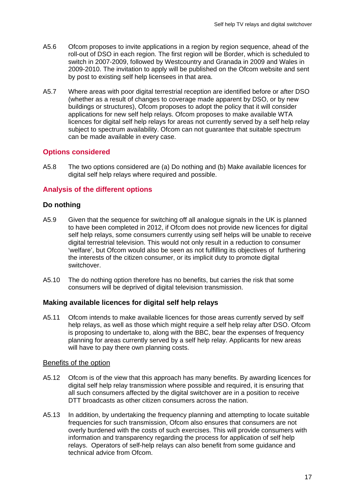- A5.6 Ofcom proposes to invite applications in a region by region sequence, ahead of the roll-out of DSO in each region. The first region will be Border, which is scheduled to switch in 2007-2009, followed by Westcountry and Granada in 2009 and Wales in 2009-2010. The invitation to apply will be published on the Ofcom website and sent by post to existing self help licensees in that area.
- A5.7 Where areas with poor digital terrestrial reception are identified before or after DSO (whether as a result of changes to coverage made apparent by DSO, or by new buildings or structures), Ofcom proposes to adopt the policy that it will consider applications for new self help relays. Ofcom proposes to make available WTA licences for digital self help relays for areas not currently served by a self help relay subject to spectrum availability. Ofcom can not guarantee that suitable spectrum can be made available in every case.

#### **Options considered**

A5.8 The two options considered are (a) Do nothing and (b) Make available licences for digital self help relays where required and possible.

#### **Analysis of the different options**

#### **Do nothing**

- A5.9 Given that the sequence for switching off all analogue signals in the UK is planned to have been completed in 2012, if Ofcom does not provide new licences for digital self help relays, some consumers currently using self helps will be unable to receive digital terrestrial television. This would not only result in a reduction to consumer 'welfare', but Ofcom would also be seen as not fulfilling its objectives of furthering the interests of the citizen consumer, or its implicit duty to promote digital switchover.
- A5.10 The do nothing option therefore has no benefits, but carries the risk that some consumers will be deprived of digital television transmission.

#### **Making available licences for digital self help relays**

A5.11 Ofcom intends to make available licences for those areas currently served by self help relays, as well as those which might require a self help relay after DSO. Ofcom is proposing to undertake to, along with the BBC, bear the expenses of frequency planning for areas currently served by a self help relay. Applicants for new areas will have to pay there own planning costs.

#### Benefits of the option

- A5.12 Ofcom is of the view that this approach has many benefits. By awarding licences for digital self help relay transmission where possible and required, it is ensuring that all such consumers affected by the digital switchover are in a position to receive DTT broadcasts as other citizen consumers across the nation.
- A5.13 In addition, by undertaking the frequency planning and attempting to locate suitable frequencies for such transmission, Ofcom also ensures that consumers are not overly burdened with the costs of such exercises. This will provide consumers with information and transparency regarding the process for application of self help relays. Operators of self-help relays can also benefit from some guidance and technical advice from Ofcom.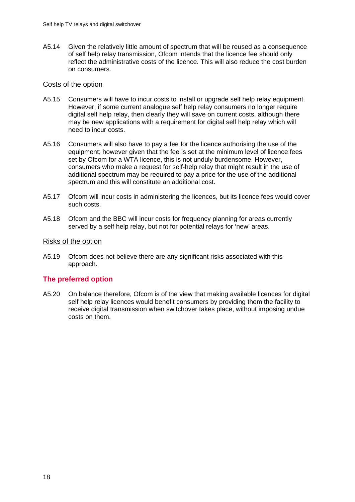A5.14 Given the relatively little amount of spectrum that will be reused as a consequence of self help relay transmission, Ofcom intends that the licence fee should only reflect the administrative costs of the licence. This will also reduce the cost burden on consumers.

#### Costs of the option

- A5.15 Consumers will have to incur costs to install or upgrade self help relay equipment. However, if some current analogue self help relay consumers no longer require digital self help relay, then clearly they will save on current costs, although there may be new applications with a requirement for digital self help relay which will need to incur costs.
- A5.16 Consumers will also have to pay a fee for the licence authorising the use of the equipment; however given that the fee is set at the minimum level of licence fees set by Ofcom for a WTA licence, this is not unduly burdensome. However, consumers who make a request for self-help relay that might result in the use of additional spectrum may be required to pay a price for the use of the additional spectrum and this will constitute an additional cost.
- A5.17 Ofcom will incur costs in administering the licences, but its licence fees would cover such costs.
- A5.18 Ofcom and the BBC will incur costs for frequency planning for areas currently served by a self help relay, but not for potential relays for 'new' areas.

#### Risks of the option

A5.19 Ofcom does not believe there are any significant risks associated with this approach.

#### **The preferred option**

A5.20 On balance therefore, Ofcom is of the view that making available licences for digital self help relay licences would benefit consumers by providing them the facility to receive digital transmission when switchover takes place, without imposing undue costs on them.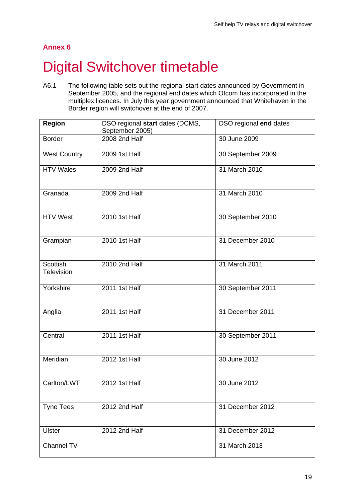# **Digital Switchover timetable**

A6.1 The following table sets out the regional start dates announced by Government in September 2005, and the regional end dates which Ofcom has incorporated in the multiplex licences. In July this year government announced that Whitehaven in the Border region will switchover at the end of 2007.

| <b>Region</b>                 | DSO regional start dates (DCMS,<br>September 2005) | DSO regional end dates |
|-------------------------------|----------------------------------------------------|------------------------|
| <b>Border</b>                 | 2008 2nd Half                                      | 30 June 2009           |
| <b>West Country</b>           | 2009 1st Half                                      | 30 September 2009      |
| <b>HTV Wales</b>              | 2009 2nd Half                                      | 31 March 2010          |
| Granada                       | 2009 2nd Half                                      | 31 March 2010          |
| <b>HTV West</b>               | 2010 1st Half                                      | 30 September 2010      |
| Grampian                      | 2010 1st Half                                      | 31 December 2010       |
| <b>Scottish</b><br>Television | 2010 2nd Half                                      | 31 March 2011          |
| Yorkshire                     | 2011 1st Half                                      | 30 September 2011      |
| Anglia                        | 2011 1st Half                                      | 31 December 2011       |
| Central                       | <b>2011 1st Half</b>                               | 30 September 2011      |
| Meridian                      | 2012 1st Half                                      | 30 June 2012           |
| Carlton/LWT                   | 2012 1st Half                                      | 30 June 2012           |
| <b>Tyne Tees</b>              | 2012 2nd Half                                      | 31 December 2012       |
| <b>Ulster</b>                 | 2012 2nd Half                                      | 31 December 2012       |
| Channel TV                    |                                                    | 31 March 2013          |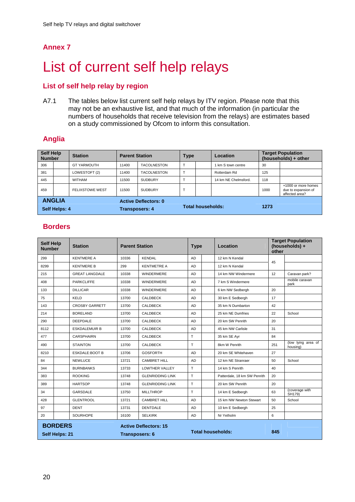# List of current self help relays

## **List of self help relay by region**

A7.1 The tables below list current self help relays by ITV region. Please note that this may not be an exhaustive list, and that much of the information (in particular the numbers of households that receive television from the relays) are estimates based on a study commissioned by Ofcom to inform this consultation.

### **Anglia**

| <b>Self Help</b><br><b>Number</b> |  | <b>Station</b>                                       | <b>Parent Station</b> |                          | <b>Type</b> |  | <b>Location</b>      |      | <b>Target Population</b><br>(households) + other             |  |
|-----------------------------------|--|------------------------------------------------------|-----------------------|--------------------------|-------------|--|----------------------|------|--------------------------------------------------------------|--|
| 306                               |  | <b>GT YARMOUTH</b>                                   | 11400                 | <b>TACOLNESTON</b>       |             |  | I km S town centre   | 30   |                                                              |  |
| 381                               |  | LOWESTOFT (2)                                        | 11400                 | <b>TACOLNESTON</b>       |             |  | Rotterdam Rd         | 125  |                                                              |  |
| 445                               |  | <b>WITHAM</b>                                        | 11500                 | <b>SUDBURY</b>           |             |  | 14 km NE Chelmsford. | 118  |                                                              |  |
| 459                               |  | <b>FELIXSTOWE WEST</b>                               | 11500                 | <b>SUDBURY</b>           | T           |  |                      | 1000 | +1000 or more homes<br>due to expansion of<br>affected area? |  |
| <b>ANGLIA</b><br>Self Helps: 4    |  | <b>Active Deflectors: 0</b><br><b>Transposers: 4</b> |                       | <b>Total households:</b> |             |  | 1273                 |      |                                                              |  |

### **Borders**

| <b>Self Help</b><br><b>Number</b> | <b>Station</b>        | <b>Parent Station</b>                                 |                         | <b>Type</b> | Location                     | <b>Target Population</b><br>(households) +<br>other |                                |
|-----------------------------------|-----------------------|-------------------------------------------------------|-------------------------|-------------|------------------------------|-----------------------------------------------------|--------------------------------|
| 299                               | <b>KENTMERE A</b>     | 10336                                                 | <b>KENDAL</b>           | <b>AD</b>   | 12 km N Kendal               | 45                                                  |                                |
| 8299                              | <b>KENTMERE B</b>     | 299                                                   | <b>KENTMETRE A</b>      | <b>AD</b>   | 12 km N Kendal               |                                                     |                                |
| 215                               | <b>GREAT LANGDALE</b> | 10338                                                 | <b>WINDERMERE</b>       | <b>AD</b>   | 14 km NW Windermere          | 12                                                  | Caravan park?                  |
| 408                               | <b>PARKCLIFFE</b>     | 10338                                                 | <b>WINDERMERE</b>       | <b>AD</b>   | 7 km S Windermere            |                                                     | mobile caravan<br>park         |
| 133                               | <b>DILLICAR</b>       | 10338                                                 | <b>WINDERMERE</b>       | <b>AD</b>   | 6 km NW Sedbergh             | 20                                                  |                                |
| 75                                | <b>KELD</b>           | 13700                                                 | <b>CALDBECK</b>         | <b>AD</b>   | 30 km E Sedberah             | 17                                                  |                                |
| 143                               | <b>CROSBY GARRETT</b> | 13700                                                 | <b>CALDBECK</b>         | <b>AD</b>   | 35 km N Dumbarton            | 42                                                  |                                |
| 214                               | <b>BORELAND</b>       | 13700                                                 | <b>CALDBECK</b>         | <b>AD</b>   | 25 km NE Dumfries            | 22                                                  | School                         |
| 290                               | <b>DEEPDALE</b>       | 13700                                                 | CALDBECK                | <b>AD</b>   | 20 km SW Penrith             | 20                                                  |                                |
| 8112                              | <b>ESKDALEMUIR B</b>  | 13700                                                 | <b>CALDBECK</b>         | <b>AD</b>   | 45 km NW Carlisle            | 31                                                  |                                |
| 477                               | <b>CARSPHAIRN</b>     | 13700                                                 | <b>CALDBECK</b>         | T           | 35 km SE Ayr                 | 84                                                  |                                |
| 490                               | <b>STAINTON</b>       | 13700                                                 | <b>CALDBECK</b>         | T           | 8km W Penrith                | 251                                                 | (low lying area of<br>housing) |
| 8210                              | <b>ESKDALE:BOOT B</b> | 13706                                                 | <b>GOSFORTH</b>         | <b>AD</b>   | 20 km SE Whitehaven          | 27                                                  |                                |
| 84                                | <b>NEWLUCE</b>        | 13721                                                 | <b>CAMBRET HILL</b>     | <b>AD</b>   | 12 km NE Stranraer           | 50                                                  | School                         |
| 344                               | <b>BURNBANKS</b>      | 13733                                                 | LOWTHER VALLEY          | T           | 14 km S Penrith              | 40                                                  |                                |
| 383                               | <b>ROOKING</b>        | 13748                                                 | <b>GLENRIDDING LINK</b> | T           | Patterdale, 18 km SW Penrith | 20                                                  |                                |
| 389                               | <b>HARTSOP</b>        | 13748                                                 | <b>GLENRIDDING LINK</b> | T           | 20 km SW Penrith             | 20                                                  |                                |
| 34                                | <b>GARSDALE</b>       | 13750                                                 | <b>MILLTHROP</b>        | T           | 14 km E Sedbergh             | 63                                                  | (coverage with<br>SH179)       |
| 428                               | <b>GLENTROOL</b>      | 13721                                                 | <b>CAMBRET HILL</b>     | <b>AD</b>   | 15 km NW Newton Stewart      | 50                                                  | School                         |
| 97                                | <b>DENT</b>           | 13731                                                 | <b>DENTDALE</b>         | <b>AD</b>   | 10 km E Sedbergh             | 25                                                  |                                |
| 20                                | <b>SOURHOPE</b>       | 16100                                                 | <b>SELKIRK</b>          | AD          | Nr Yetholm                   | 6                                                   |                                |
| <b>BORDERS</b><br>Self Helps: 21  |                       | <b>Active Deflectors: 15</b><br><b>Transposers: 6</b> |                         |             | <b>Total households:</b>     | 845                                                 |                                |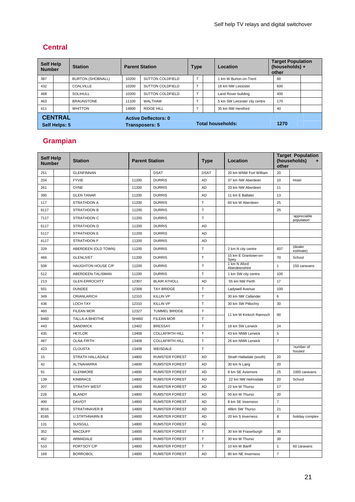## **Central**

| <b>Self Help</b><br><b>Number</b> |  | <b>Station</b>                                       | <b>Parent Station</b> |                         | <b>Type</b>       | Location                      | <b>Target Population</b><br>(households) +<br>other |  |
|-----------------------------------|--|------------------------------------------------------|-----------------------|-------------------------|-------------------|-------------------------------|-----------------------------------------------------|--|
| 387                               |  | <b>BURTON (SHOBNALL)</b>                             | 10200                 | SUTTON COLDFIELD        |                   | 1 km W Burton-on-Trent        | 60                                                  |  |
| 432                               |  | COALVILLE                                            | 10200                 | <b>SUTTON COLDFIELD</b> |                   | 18 km NW Leicester            | 600                                                 |  |
| 468                               |  | <b>SOLIHULL</b>                                      | 10200                 | <b>SUTTON COLDFIELD</b> |                   | Land Rover building           | 400                                                 |  |
| 463                               |  | <b>BRAUNSTONE</b>                                    | 11100                 | <b>WALTHAM</b>          |                   | 5 km SW Leicester city centre | 170                                                 |  |
| 411                               |  | <b>WHITTON</b>                                       | 14900                 | <b>RIDGE HILL</b>       |                   | 35 km NW Hereford             | 40                                                  |  |
| <b>CENTRAL</b><br>Self Helps: 5   |  | <b>Active Deflectors: 0</b><br><b>Transposers: 5</b> |                       |                         | Total households: | 1270                          |                                                     |  |

# **Grampian**

| <b>Self Help</b><br><b>Number</b> | <b>Station</b>            | <b>Parent Station</b> |                        | <b>Type</b>  | Location                      | other          | <b>Target Population</b><br>(households)<br>÷ |
|-----------------------------------|---------------------------|-----------------------|------------------------|--------------|-------------------------------|----------------|-----------------------------------------------|
| 251                               | <b>GLENFINNAN</b>         |                       | <b>DSAT</b>            | <b>DSAT</b>  | 20 km WNW Fort William        | 20             |                                               |
| 204                               | <b>FYVIE</b>              | 11200                 | <b>DURRIS</b>          | <b>AD</b>    | 37 km NW Aberdeen             | 10             | Hotel                                         |
| 261                               | <b>OYNE</b>               | 11200                 | <b>DURRIS</b>          | AD           | 33 km NW Aberdeen             | 11             |                                               |
| 395                               | <b>GLEN TANAR</b>         | 11200                 | <b>DURRIS</b>          | AD           | 11 km E Ballater              | 13             |                                               |
| 117                               | <b>STRATHDON A</b>        | 11200                 | <b>DURRIS</b>          | T            | 60 km W Aberdeen              | 25             |                                               |
| 8117                              | <b>STRATHDON B</b>        | 11200                 | <b>DURRIS</b>          | $\mathsf T$  |                               | 25             |                                               |
| 7117                              | STRATHDON C               | 11200                 | <b>DURRIS</b>          | T            |                               |                | 'appreciable<br>population'                   |
| 6117                              | <b>STRATHDON D</b>        | 11200                 | <b>DURRIS</b>          | <b>AD</b>    |                               |                |                                               |
| 5117                              | STRATHDON E               | 11200                 | <b>DURRIS</b>          | <b>AD</b>    |                               |                |                                               |
| 4117                              | STRATHDON F               | 11200                 | <b>DURRIS</b>          | <b>AD</b>    |                               |                |                                               |
| 329                               | ABERDEEN (OLD TOWN)       | 11200                 | <b>DURRIS</b>          | $\top$       | 2 km N city centre            | 837            | (dealer<br>estimate)                          |
| 466                               | <b>GLENLIVET</b>          | 11200                 | <b>DURRIS</b>          | T            | 15 km E Grantown-on-<br>Spey  | 70             | School                                        |
| 508                               | <b>HAUGHTON HOUSE C/P</b> | 11200                 | <b>DURRIS</b>          | Т            | 1 km N Aford<br>Aberdeenshire | $\mathbf{1}$   | 150 caravans                                  |
| 512                               | ABERDEEN-TALISMAN         | 11200                 | <b>DURRIS</b>          | T            | 1 km SW city centre           | 100            |                                               |
| 213                               | <b>GLEN ERROCHTY</b>      | 12307                 | <b>BLAIR ATHOLL</b>    | <b>AD</b>    | 55 km NW Perth                | 17             |                                               |
| 501                               | <b>DUNDEE</b>             | 12308                 | <b>TAY BRIDGE</b>      | $\top$       | Ladywell Avenue               | 100            |                                               |
| 349                               | CRIANLARICH               | 12310                 | <b>KILLIN VP</b>       | T            | 30 km NW Callander            | 6              |                                               |
| 436                               | <b>LOCH TAY</b>           | 12310                 | <b>KILLIN VP</b>       | $\mathsf T$  | 30 km SW Pitlochry            | 30             |                                               |
| 460                               | <b>FILEAN MOR</b>         | 12327                 | <b>TUMMEL BRIDGE</b>   | T            | 11 km W Kinloch Rannoch       | 90             |                                               |
| 8460                              | TALLA-A-BHEITHE           | SH460                 | <b>FILEAN MOR</b>      | T            |                               |                |                                               |
| 443                               | <b>SANDWICK</b>           | 13402                 | <b>BRESSAY</b>         | T            | 18 km SW Lerwick              | 24             |                                               |
| 435                               | <b>HEYLOR</b>             | 13408                 | <b>COLLAFIRTH HILL</b> | T            | 43 km NNW Lerwick             | 5              |                                               |
| 487                               | <b>OLNA FIRTH</b>         | 13408                 | <b>COLLAFIRTH HILL</b> | $\mathsf{T}$ | 26 km NNW Lerwick             | $\overline{7}$ |                                               |
| 423                               | <b>CLOUSTA</b>            | 13409                 | WEISDALE               | T            |                               |                | 'number of<br>houses'                         |
| 15                                | STRATH HALLADALE          | 14800                 | <b>RUMSTER FOREST</b>  | AD           | Strath Halladale (south)      | 20             |                                               |
| 42                                | ALTNAHARRA                | 14800                 | <b>RUMSTER FOREST</b>  | <b>AD</b>    | 30 km N Lairg                 | 20             |                                               |
| 91                                | <b>GLENMORE</b>           | 14800                 | <b>RUMSTER FOREST</b>  | <b>AD</b>    | 8 km SE Aviemore              | 25             | 1000 caravans                                 |
| 139                               | KINBRACE                  | 14800                 | <b>RUMSTER FOREST</b>  | AD           | 22 km NW Helmsdale            | 20             | School                                        |
| 207                               | <b>STRATHY WEST</b>       | 14800                 | <b>RUMSTER FOREST</b>  | AD           | 22 km W Thurso                | 17             |                                               |
| 226                               | <b>BLANDY</b>             | 14800                 | <b>RUMSTER FOREST</b>  | <b>AD</b>    | 50 km W Thurso                | 20             |                                               |
| 400                               | <b>DAVIOT</b>             | 14800                 | <b>RUMSTER FOREST</b>  | <b>AD</b>    | 8 km SE Inverness             | $\overline{7}$ |                                               |
| 8016                              | <b>STRATHNAVER B</b>      | 14800                 | <b>RUMSTER FOREST</b>  | AD           | 48km SW Thurso                | 21             |                                               |
| 8165                              | <b>U.STRTHNAIRN B</b>     | 14800                 | <b>RUMSTER FOREST</b>  | <b>AD</b>    | 20 km S Inverness             | 8              | holiday complex                               |
| 131                               | <b>SUISGILL</b>           | 14800                 | <b>RUMSTER FOREST</b>  | <b>AD</b>    |                               |                |                                               |
| 352                               | <b>MACDUFF</b>            | 14800                 | <b>RUMSTER FOREST</b>  | $\mathsf{T}$ | 30 km W Fraserburgh           | 30             |                                               |
| 462                               | ARMADALE                  | 14800                 | <b>RUMSTER FOREST</b>  | $\mathsf{T}$ | 30 km W Thurso                | 30             |                                               |
| 510                               | PORTSOY C/P               | 14800                 | <b>RUMSTER FOREST</b>  | T            | 10 km W Banff                 | $\mathbf{1}$   | 60 caravans                                   |
| 169                               | <b>BORROBOL</b>           | 14800                 | <b>RUMSTER FOREST</b>  | <b>AD</b>    | 80 km NE Inverness            | $\overline{7}$ |                                               |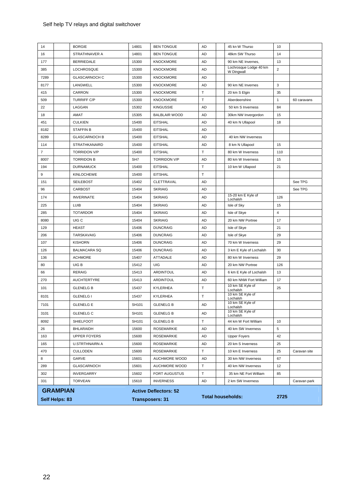#### Self help TV relays and digital switchover

|                | Self Helps: 83  |                                          |                              | <b>Transposers: 31</b>                 |           | <b>Total households:</b>                 | 2725           |              |
|----------------|-----------------|------------------------------------------|------------------------------|----------------------------------------|-----------|------------------------------------------|----------------|--------------|
|                | <b>GRAMPIAN</b> |                                          | <b>Active Deflectors: 52</b> |                                        |           |                                          |                |              |
| 331            |                 | <b>TORVEAN</b>                           | 15610                        | <b>INVERNESS</b>                       | AD        | 2 km SW Inverness                        |                | Caravan park |
| 302            |                 | <b>INVERGARRY</b>                        | 15602                        | <b>FORT AUGUSTUS</b>                   | $\top$    | 35 km NE Fort William                    | 85             |              |
| 289            |                 | GLASCARNOCH                              | 15601                        | AUCHMORE WOOD                          | $\top$    | 40 km NW Inverness                       | 12             |              |
| 8              |                 | GARVE                                    | 15601                        | AUCHMORE WOOD                          | AD        | 30 km NW Inverness                       | 67             |              |
| 470            |                 | <b>U.STRTHNAIRN A</b><br><b>CULLODEN</b> | 15600                        | <b>ROSEMARKIE</b>                      | $\top$    | 10 km E Inverness                        | 25             | Caravan site |
| 163<br>165     |                 | <b>UPPER FOYERS</b>                      | 15600<br>15600               | <b>ROSEMARKIE</b><br><b>ROSEMARKIE</b> | AD<br>AD  | <b>Upper Foyers</b><br>20 km S Inverness | 42<br>25       |              |
| 26             |                 | <b>BHLARAIDH</b>                         | 15600                        | ROSEMARKIE                             | AD        | 40 km SW Inverness                       | 5              |              |
| 8092           |                 | <b>SHIELFOOT</b>                         | SH101                        | <b>GLENELG B</b>                       | T         | 44 km W Fort William                     | 10             |              |
| 3101           |                 | <b>GLENELG C</b>                         | SH101                        | <b>GLENELG B</b>                       | AD        | Lochalsh                                 |                |              |
| 7101           |                 |                                          | SH101                        | <b>GLENELG B</b>                       | AD        | Lochalsh<br>10 km SE Kyle of             |                |              |
|                |                 | <b>GLENELG E</b>                         |                              |                                        |           | Lochalsh<br>10 km SE Kyle of             |                |              |
| 8101           |                 | <b>GLENELG I</b>                         | 15437                        | KYLERHEA                               | $\top$    | Lochalsh<br>10 km SE Kyle of             |                |              |
| 101            |                 | <b>GLENELG B</b>                         | 15437                        | KYLERHEA                               | $\top$    | 10 km SE Kyle of                         | 25             |              |
| 270            |                 | <b>AUCHTERTYRE</b>                       | 15413                        | <b>ARDINTOUL</b>                       | AD        | 60 km NNW Fort William                   | 17             |              |
| 66             |                 | <b>RERAIG</b>                            | 15413                        | ARDINTOUL                              | AD        | 6 km E Kyle of Lochalsh                  | 13             |              |
| 80             |                 | UIG B                                    | 15412                        | UIG                                    | AD        | 20 km NW Portree                         | 126            |              |
| 136            |                 | <b>ACHMORE</b>                           | 15407                        | ATTADALE                               | AD        | 80 km W Inverness                        | 29             |              |
| 126            |                 | <b>BALMACARA SQ</b>                      | 15406                        | <b>DUNCRAIG</b>                        | AD        | 3 km E Kyle of Lochalsh                  | 30             |              |
| 107            |                 | <b>KISHORN</b>                           | 15406                        | <b>DUNCRAIG</b>                        | AD        | 70 km W Inverness                        | 29             |              |
| 206            |                 | TARSKAVAIG                               | 15406                        | <b>DUNCRAIG</b>                        | AD        | Isle of Skye                             | 29             |              |
| 129            |                 | <b>HEAST</b>                             | 15406                        | <b>DUNCRAIG</b>                        | AD        | Isle of Skye                             | 21             |              |
| 8080           |                 | UIG C                                    | 15404                        | <b>SKRIAIG</b>                         | AD        | 20 km NW Portree                         | 17             |              |
| 285            |                 | <b>TOTARDOR</b>                          | 15404                        | <b>SKRIAIG</b>                         | AD        | Isle of Skye                             | $\overline{4}$ |              |
| 225            |                 | LUIB                                     | 15404                        | <b>SKRIAIG</b>                         | AD        | Isle of Sky                              | 15             |              |
| 174            |                 | <b>INVERINATE</b>                        | 15404                        | <b>SKRIAIG</b>                         | AD        | 15-20 km E Kyle of<br>Lochalsh           | 126            |              |
| 96             |                 | CARBOST                                  | 15404                        | <b>SKRIAIG</b>                         | AD        |                                          |                | See TPG      |
| 151            |                 | <b>SEILEBOST</b>                         | 15402                        | CLETTRAVAL                             | AD        |                                          |                | See TPG      |
| 9              |                 | <b>KINLOCHEWE</b>                        | 15400                        | <b>EITSHAL</b>                         | $\top$    |                                          |                |              |
| 194            |                 | <b>DURNAMUCK</b>                         | 15400                        | <b>EITSHAL</b>                         | Т         | 10 km W Ullapool                         | 21             |              |
| 8007           |                 | <b>TORRIDON B</b>                        | SH <sub>7</sub>              | <b>TORRIDON V/P</b>                    | AD        | 80 km W Inverness                        | 15             |              |
| $\overline{7}$ |                 | <b>TORRIDON V/P</b>                      | 15400                        | <b>EITSHAL</b>                         | $\top$    | 80 km W Inverness                        | 110            |              |
| 114            |                 | <b>STRATHKANAIRD</b>                     | 15400                        | <b>EITSHAL</b>                         | AD        | 8 km N Ullapool                          | 15             |              |
| 8289           |                 | <b>GLASCARNOCH B</b>                     | 15400                        | <b>EITSHAL</b>                         | AD        | 40 km NW Inverness                       |                |              |
| 8182           |                 | <b>STAFFIN B</b>                         | 15400                        | <b>EITSHAL</b>                         | AD        |                                          |                |              |
| 451            |                 | <b>CULKIEN</b>                           | 15400                        | <b>EITSHAL</b>                         | AD        | 40 km N Ullapool                         | 18             |              |
| 18             |                 | AMAT                                     | 15305                        | <b>BALBLAIR WOOD</b>                   | AD        | 30km NW Invergordon                      | 15             |              |
| 22             |                 | LAGGAN                                   | 15302                        | <b>KINGUSSIE</b>                       | AD        | 50 km S Inverness                        | 84             |              |
| 509            |                 | <b>TURRIFF C/P</b>                       | 15300                        | <b>KNOCKMORE</b>                       | $\top$    | Aberdeenshire                            | $\mathbf{1}$   | 60 caravans  |
| 415            |                 | <b>CARRON</b>                            | 15300                        | <b>KNOCKMORE</b>                       | $\top$    | 20 km S Elgin                            | 35             |              |
| 7289<br>8177   |                 | LANGWELL                                 | 15300<br>15300               | <b>KNOCKMORE</b>                       | AD<br>AD  | 90 km NE Invernes                        | 3              |              |
|                |                 | <b>GLASCARNOCH C</b>                     |                              | <b>KNOCKMORE</b>                       |           | W Dingwall                               |                |              |
| 385            |                 | <b>LOCHROSQUE</b>                        | 15300                        | <b>KNOCKMORE</b>                       | <b>AD</b> | Lochrosque Lodge 40 km                   | $\overline{2}$ |              |
| 177            |                 | <b>BERRIEDALE</b>                        | 15300                        | <b>KNOCKMORE</b>                       | AD        | 90 km NE Invernes,                       | 13             |              |
| 16             |                 | STRATHNAVER A                            | 14801                        | <b>BEN TONGUE</b>                      | AD        | 48km SW Thurso                           | 14             |              |
| 14             |                 | <b>BORGIE</b>                            | 14801                        | <b>BEN TONGUE</b>                      | AD        | 45 kn W Thurso                           | 10             |              |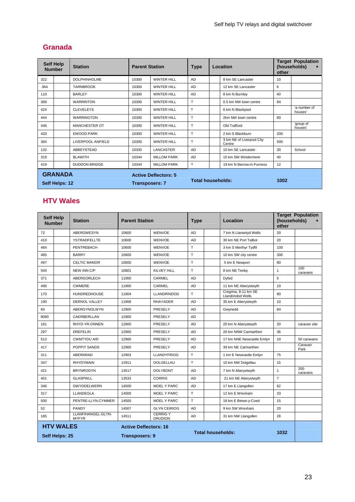# **Granada**

| <b>Self Help</b><br><b>Number</b> |  | <b>Station</b>                                       | <b>Parent Station</b> | <b>Type</b>        | Location  |  |                                     | <b>Target Population</b><br>(households)<br>÷<br>other |                         |
|-----------------------------------|--|------------------------------------------------------|-----------------------|--------------------|-----------|--|-------------------------------------|--------------------------------------------------------|-------------------------|
| 322                               |  | <b>DOLPHINHOLME</b>                                  | 10300                 | <b>WINTER HILL</b> | <b>AD</b> |  | 8 km SE Lancaster                   | 10                                                     |                         |
| 364                               |  | <b>TARNBROOK</b>                                     | 10300                 | <b>WINTER HILL</b> | AD        |  | 12 km SE Lancaster                  | 6                                                      |                         |
| 110                               |  | <b>BARLEY</b>                                        | 10300                 | <b>WINTER HILL</b> | AD        |  | 8 km N Burnley                      | 40                                                     |                         |
| 369                               |  | <b>WARRINTON</b>                                     | 10300                 | <b>WINTER HILL</b> | T         |  | 0.5 km NW town centre               | 84                                                     |                         |
| 424                               |  | <b>CLEVELEYS</b>                                     | 10300                 | <b>WINTER HILL</b> | T         |  | 6 km N Blackpool                    |                                                        | 'a number of<br>houses' |
| 444                               |  | <b>WARRINGTON</b>                                    | 10300                 | <b>WINTER HILL</b> | T         |  | 2km NW town centre                  | 80                                                     |                         |
| 446                               |  | <b>MANCHESTER OT</b>                                 | 10300                 | <b>WINTER HILL</b> | T         |  | Old Trafford                        |                                                        | 'group of<br>houses'    |
| 420                               |  | <b>EWOOD PARK</b>                                    | 10300                 | <b>WINTER HILL</b> | T         |  | 2 km S Blackburn                    | 200                                                    |                         |
| 384                               |  | LIVERPOOL ANFIELD                                    | 10300                 | <b>WINTER HILL</b> | T         |  | 3 km NE of Liverpool City<br>Centre | 500                                                    |                         |
| 132                               |  | ABBEYSTEAD                                           | 10335                 | <b>LANCASTER</b>   | AD        |  | 10 km SE Lancaster                  | 30                                                     | School                  |
| 319                               |  | <b>BLAWITH</b>                                       | 10344                 | <b>MILLOM PARK</b> | AD        |  | 15 km SW Windermere                 | 40                                                     |                         |
| 419                               |  | <b>DUDDON BRIDGE</b>                                 | 10344                 | <b>MILLOM PARK</b> | T         |  | 19 km N Barrow-in-Furness           | 12                                                     |                         |
| <b>GRANADA</b><br>Self Helps: 12  |  | <b>Active Deflectors: 5</b><br><b>Transposers: 7</b> |                       | Total households:  |           |  | 1002                                |                                                        |                         |

## **HTV Wales**

| <b>Self Help</b><br><b>Number</b> | <b>Station</b>                     | <b>Parent Station</b> |                                  | <b>Type</b> |                          | Location                                  | (households)<br>other | <b>Target Population</b> |
|-----------------------------------|------------------------------------|-----------------------|----------------------------------|-------------|--------------------------|-------------------------------------------|-----------------------|--------------------------|
| 72                                | ABERGWESYN                         | 10600                 | <b>WENVOE</b>                    | <b>AD</b>   |                          | 7 km N Llanwrtyd Wells                    | 20                    |                          |
| 410                               | <b>YSTRADFELLTE</b>                | 10600                 | <b>WENVOE</b>                    | <b>AD</b>   |                          | 30 km NE Port Talbot                      | 20                    |                          |
| 464                               | <b>PENTREBACH</b>                  | 10600                 | <b>WENVOE</b>                    | T.          |                          | 3 km S Merthyr Tydfil                     | 100                   |                          |
| 485                               | <b>BARRY</b>                       | 10600                 | <b>WENVOE</b>                    | T.          |                          | 10 km SW city centre                      | 300                   |                          |
| 497                               | <b>CELTIC MANOR</b>                | 10600                 | <b>WENVOE</b>                    | T.          |                          | 5 km E Newport                            | 80                    |                          |
| 504                               | NEW INN C/P                        | 10601                 | <b>KILVEY HILL</b>               | T.          |                          | 8 km NE Tenby                             | $\mathbf{1}$          | 100<br>caravans          |
| 371                               | ABERGORLECH                        | 11900                 | CARMEL                           | <b>AD</b>   |                          | Dyfed                                     | 5                     |                          |
| 496                               | <b>CWMERE</b>                      | 11900                 | CARMEL                           | AD          |                          | 11 km NE Aberystwyth                      | 10                    |                          |
| 170                               | <b>HUNDREDHOUSE</b>                | 11904                 | <b>LLANDRINDOD</b>               | T.          |                          | Cregrina, 8-11 km SE<br>Llandrindod Wells | 80                    |                          |
| 190                               | DERNOL VALLEY                      | 11908                 | <b>RHAYADER</b>                  | <b>AD</b>   |                          | 35 km E Aberystwyth                       | 10                    |                          |
| 60                                | ABERGYNOLWYN                       | 12900                 | PRESELY                          | <b>AD</b>   |                          | Gwynedd                                   | 84                    |                          |
| 8060                              | CAERBERLLAN                        | 12900                 | PRESELY                          | AD          |                          |                                           |                       |                          |
| 161                               | RHYD-YR-ONNEN                      | 12900                 | PRESELY                          | <b>AD</b>   |                          | 20 km N Aberystwyth                       | 20                    | caravan site             |
| 297                               | <b>DREFELIN</b>                    | 12900                 | <b>PRESELY</b>                   | <b>AD</b>   |                          | 20 km NNW Carmarthen                      | 36                    |                          |
| 513                               | <b>CWMTYDU A/D</b>                 | 12900                 | PRESELY                          | <b>AD</b>   |                          | 17 km NNE Newcastle Emlyn                 | 10                    | 50 caravans              |
| 417                               | POPPIT SANDS                       | 12900                 | <b>PRESELY</b>                   | <b>AD</b>   |                          | 39 km NE Carmarthen                       |                       | Caravan<br>Park          |
| 311                               | ABERARAD                           | 12903                 | <b>LLANDYFRIOG</b>               | T.          |                          | 1 km E Newcastle Emlyn                    | 75                    |                          |
| 347                               | <b>RHYDYMAIN</b>                   | 12911                 | <b>DOLGELLAU</b>                 | T           |                          | 10 km NW Dolgellau                        | 15                    |                          |
| 421                               | <b>BRYNRODYN</b>                   | 13517                 | <b>DOLYBONT</b>                  | <b>AD</b>   |                          | 7 km N Aberystwyth                        | $\mathbf{1}$          | 200<br>caravans          |
| 401                               | <b>GLASPWLL</b>                    | 13533                 | <b>CORRIS</b>                    | <b>AD</b>   |                          | 21 km NE Aberystwyth                      | $\overline{7}$        |                          |
| 346                               | <b>GWYDDELWERN</b>                 | 14500                 | <b>MOEL Y PARC</b>               | AD          |                          | 17 km E Llangollen                        | 62                    |                          |
| 317                               | LLANDEGLA                          | 14500                 | <b>MOEL Y PARC</b>               | T           |                          | 12 km E Wrexham                           | 33                    |                          |
| 500                               | PENTRE-LLYN-CYMMER                 | 14500                 | <b>MOEL Y PARC</b>               | T.          |                          | 18 km E Betws-y-Coed                      | 15                    |                          |
| 52                                | <b>PANDY</b>                       | 14507                 | <b>GLYN CEIRIOG</b>              | <b>AD</b>   |                          | 9 km SW Wrexham                           | 20                    |                          |
| 185                               | LLANFIHANGEL-GLYN-<br><b>MYFYR</b> | 14511                 | <b>CERRIGY</b><br><b>DRUDION</b> | <b>AD</b>   |                          | 31 km NW Llangollen                       | 28                    |                          |
|                                   | <b>HTV WALES</b>                   |                       | <b>Active Deflectors: 16</b>     |             |                          |                                           |                       |                          |
|                                   | Self Helps: 25                     |                       | <b>Transposers: 9</b>            |             | <b>Total households:</b> |                                           | 1032                  |                          |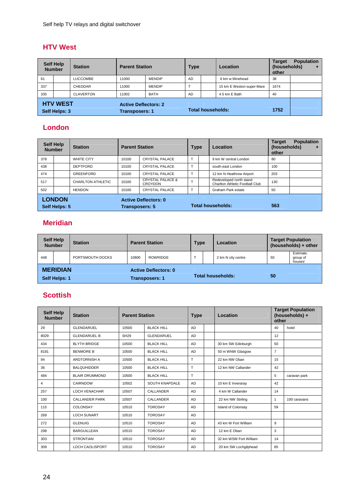## **HTV West**

|                                  | <b>Self Help</b><br><b>Station</b><br><b>Parent Station</b><br><b>Number</b> |                                                      | <b>Type</b> |               | Location                 | <b>Target</b><br>(households)<br>other | <b>Population</b><br>٠    |      |  |
|----------------------------------|------------------------------------------------------------------------------|------------------------------------------------------|-------------|---------------|--------------------------|----------------------------------------|---------------------------|------|--|
| 61                               |                                                                              | <b>LUCCOMBE</b>                                      | 11000       | <b>MENDIP</b> | <b>AD</b>                |                                        | 6 km w Minehead           | 38   |  |
| 337                              |                                                                              | <b>CHEDDAR</b>                                       | 11000       | <b>MENDIP</b> |                          |                                        | 15 km E Weston-super-Mare | 1674 |  |
| 335                              |                                                                              | <b>CLAVERTON</b>                                     | 11002       | <b>BATH</b>   | <b>AD</b>                |                                        | 4.5 km E Bath             | 40   |  |
| <b>HTV WEST</b><br>Self Helps: 3 |                                                                              | <b>Active Deflectors: 2</b><br><b>Transposers: 1</b> |             |               | <b>Total households:</b> |                                        | 1752                      |      |  |

## **London**

| <b>Self Help</b><br><b>Number</b> |  | <b>Station</b>                                       | <b>Parent Station</b> |                                               | <b>Type</b>    |                          | Location                                                   | <b>Target</b><br>(households)<br>other | <b>Population</b><br>٠ |
|-----------------------------------|--|------------------------------------------------------|-----------------------|-----------------------------------------------|----------------|--------------------------|------------------------------------------------------------|----------------------------------------|------------------------|
| 378                               |  | <b>WHITE CITY</b>                                    | 10100                 | CRYSTAL PALACE                                | $\mathbf \tau$ |                          | 9 km W central London                                      | 80                                     |                        |
| 438                               |  | <b>DEPTFORD</b>                                      | 10100                 | <b>CRYSTAL PALACE</b>                         |                |                          | south-east London                                          | 100                                    |                        |
| 474                               |  | <b>GREENFORD</b>                                     | 10100                 | <b>CRYSTAL PALACE</b>                         |                |                          | 12 km N Heathrow Airport                                   | 203                                    |                        |
| 517                               |  | <b>CHARLTON ATHLETIC</b>                             | 10100                 | <b>CRYSTAL PALACE &amp;</b><br><b>CROYDON</b> | $\mathbf{r}$   |                          | Redeveloped north stand<br>Charlton Athletic Football Club | 130                                    |                        |
| 502                               |  | <b>HENDON</b>                                        | 10100                 | <b>CRYSTAL PALACE</b>                         |                |                          | Graham Park estate                                         | 50                                     |                        |
| <b>LONDON</b><br>Self Helps: 5    |  | <b>Active Deflectors: 0</b><br><b>Transposers: 5</b> |                       |                                               |                | <b>Total households:</b> | 563                                                        |                                        |                        |

## **Meridian**

| <b>Number</b> | <b>Self Help</b> | <b>Station</b>        |       | <b>Parent Station</b>       | <b>Type</b> |    | Location           |    | <b>Target Population</b><br>(households) + other |
|---------------|------------------|-----------------------|-------|-----------------------------|-------------|----|--------------------|----|--------------------------------------------------|
| 448           |                  | PORTSMOUTH DOCKS      | 10800 | <b>ROWRIDGE</b>             |             |    | 2 km N city centre | 50 | Estimate.<br>group of<br>houses'                 |
|               | <b>MERIDIAN</b>  |                       |       | <b>Active Deflectors: 0</b> |             |    |                    |    |                                                  |
| Self Helps: 1 |                  | <b>Transposers: 1</b> |       | <b>Total households:</b>    |             | 50 |                    |    |                                                  |

# **Scottish**

| <b>Self Help</b><br><b>Number</b> |  | <b>Station</b>         |             | <b>Parent Station</b><br><b>Type</b> |           | Location                  | <b>Target Population</b><br>(households) +<br>other |              |  |
|-----------------------------------|--|------------------------|-------------|--------------------------------------|-----------|---------------------------|-----------------------------------------------------|--------------|--|
| 29                                |  | <b>GLENDARUEL</b>      | 10500       | <b>BLACK HILL</b>                    | <b>AD</b> |                           | 40                                                  | hotel        |  |
| 8029                              |  | <b>GLENDARUEL B</b>    | <b>SH29</b> | <b>GLENDARUEL</b>                    | AD        |                           | 12                                                  |              |  |
| 434                               |  | <b>BLYTH BRIDGE</b>    | 10500       | <b>BLACK HILL</b>                    | AD        | 30 km SW Edinburgh        | 50                                                  |              |  |
| 8181                              |  | <b>BENMORE B</b>       | 10500       | <b>BLACK HILL</b>                    | AD        | 50 m WNW Glasgow          | $\overline{7}$                                      |              |  |
| 94                                |  | <b>ARDTORNISH A</b>    | 10500       | <b>BLACK HILL</b>                    | T         | 22 km NW Oban             | 15                                                  |              |  |
| 36                                |  | <b>BALQUHIDDER</b>     | 10500       | <b>BLACK HILL</b>                    | T         | 12 km NW Callander        | 42                                                  |              |  |
| 484                               |  | <b>BLAIR DRUMMOND</b>  | 10500       | <b>BLACK HILL</b>                    | T         |                           | 5                                                   | caravan park |  |
| 4                                 |  | CAIRNDOW               | 10502       | <b>SOUTH KNAPDALE</b>                | <b>AD</b> | 10 km E Inveraray         | 42                                                  |              |  |
| 257                               |  | <b>LOCH VENACHAR</b>   | 10507       | CALLANDER                            | AD        | 4 km W Callander          | 14                                                  |              |  |
| 100                               |  | <b>CALLANDER PARK</b>  | 10507       | CALLANDER                            | AD        | 22 km NW Stirling         | 1                                                   | 100 caravans |  |
| 115                               |  | COLONSAY               | 10510       | <b>TOROSAY</b>                       | AD        | <b>Island of Colonsay</b> | 59                                                  |              |  |
| 269                               |  | <b>LOCH SUNART</b>     | 10510       | <b>TOROSAY</b>                       | AD        |                           |                                                     |              |  |
| 272                               |  | <b>GLENUIG</b>         | 10510       | <b>TOROSAY</b>                       | AD        | 43 km W Fort William      | 9                                                   |              |  |
| 298                               |  | <b>BARGUILLEAN</b>     | 10510       | <b>TOROSAY</b>                       | AD        | 12 km E Oban              | 3                                                   |              |  |
| 303                               |  | <b>STRONTIAN</b>       | 10510       | <b>TOROSAY</b>                       | AD        | 32 km WSW Fort William    | 14                                                  |              |  |
| 309                               |  | <b>LOCH CAOLISPORT</b> | 10510       | <b>TOROSAY</b>                       | AD        | 20 km SW Lochgilphead     | 85                                                  |              |  |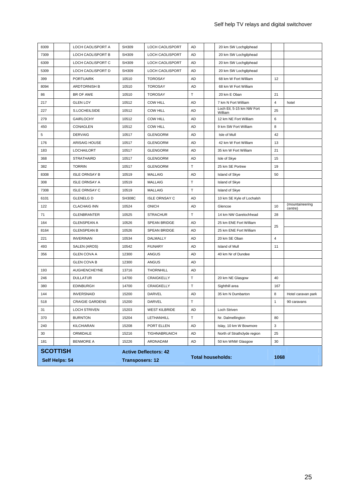|      | Self Helps: 54  |                        | <b>Transposers: 12</b> |                              |           | <b>Total households:</b> |                                      |                | 1068                       |  |  |
|------|-----------------|------------------------|------------------------|------------------------------|-----------|--------------------------|--------------------------------------|----------------|----------------------------|--|--|
|      | <b>SCOTTISH</b> |                        |                        | <b>Active Deflectors: 42</b> |           |                          |                                      |                |                            |  |  |
| 181  |                 | <b>BENMORE A</b>       | 15226                  | ARDNADAM                     | AD        |                          | 50 km WNW Glasgow                    | 30             |                            |  |  |
| 30   |                 | ORMIDALE               | 15216                  | <b>TIGHNABRUAICH</b>         | AD        |                          | North of Strathclyde region          | 25             |                            |  |  |
| 240  |                 | KILCHIARAN             | 15208                  | PORT ELLEN                   | AD        |                          | Islay, 10 km W Bowmore               | 3              |                            |  |  |
| 370  |                 | <b>BURNTON</b>         | 15204                  | LETHANHILL                   | Τ         |                          | Nr. Dalmellington                    | 80             |                            |  |  |
| 31   |                 | <b>LOCH STRIVEN</b>    | 15203                  | <b>WEST KILBRIDE</b>         | AD        |                          | Loch Striven                         |                |                            |  |  |
| 518  |                 | <b>CRAIGIE GARDENS</b> | 15200                  | DARVEL                       | Т         |                          |                                      | 1              | 90 caravans                |  |  |
| 144  |                 | <b>INVERSNAID</b>      | 15200                  | DARVEL                       | AD        |                          | 35 km N Dumbarton                    | 8              | Hotel caravan park         |  |  |
| 380  |                 | <b>EDINBURGH</b>       | 14700                  | CRAIGKELLY                   | T         |                          | Sighthill area                       | 167            |                            |  |  |
| 246  |                 | <b>DULLATUR</b>        | 14700                  | CRAIGKELLY                   | Т         |                          | 20 km NE Glasgow                     | 40             |                            |  |  |
| 193  |                 | <b>AUGHENCHEYNE</b>    | 13716                  | <b>THORNHILL</b>             | AD        |                          |                                      |                |                            |  |  |
|      |                 | <b>GLEN COVA B</b>     | 12300                  | ANGUS                        | AD        |                          |                                      |                |                            |  |  |
| 356  |                 | <b>GLEN COVA A</b>     | 12300                  | ANGUS                        | AD        |                          | 40 km Nr of Dundee                   |                |                            |  |  |
| 493  |                 | SALEN (AROS)           | 10542                  | <b>FIUNARY</b>               | AD        |                          | <b>Island of Mull</b>                | 11             |                            |  |  |
| 221  |                 | <b>INVERINAN</b>       | 10534                  | DALMALLY                     | AD        |                          | 20 km SE Oban                        | $\overline{4}$ |                            |  |  |
| 8164 |                 | <b>GLENSPEAN B</b>     | 10526                  | SPEAN BRIDGE                 | <b>AD</b> |                          | 25 km ENE Fort William               | 25             |                            |  |  |
| 164  |                 | <b>GLENSPEAN A</b>     | 10526                  | SPEAN BRIDGE                 | AD        |                          | 25 km ENE Fort William               |                |                            |  |  |
| 71   |                 | <b>GLENBRANTER</b>     | 10525                  | <b>STRACHUR</b>              | T         |                          | 14 km NW Garelochhead                | 28             |                            |  |  |
| 122  |                 | <b>CLACHAIG INN</b>    | 10524                  | <b>ONICH</b>                 | AD        |                          | Glencoe                              | 10             | (mountaineering<br>centre) |  |  |
| 6101 |                 | <b>GLENELG D</b>       | <b>SH308C</b>          | <b>ISLE ORNSAY C</b>         | AD        |                          | 10 km SE Kyle of Lochalsh            |                |                            |  |  |
| 7308 |                 | <b>ISLE ORNSAY C</b>   | 10519                  | <b>MALLAIG</b>               | Т         |                          | <b>Island of Skye</b>                |                |                            |  |  |
| 308  |                 | <b>ISLE ORNSAY A</b>   | 10519                  | <b>MALLAIG</b>               | T         |                          | <b>Island of Skye</b>                |                |                            |  |  |
| 8308 |                 | <b>ISLE ORNSAY B</b>   | 10519                  | <b>MALLAIG</b>               | AD        |                          | <b>Island of Skye</b>                | 50             |                            |  |  |
| 382  |                 | <b>TORRIN</b>          | 10517                  | <b>GLENGORM</b>              | T         |                          | 25 km SE Portree                     | 19             |                            |  |  |
| 368  |                 | <b>STRATHAIRD</b>      | 10517                  | <b>GLENGORM</b>              | AD        |                          | Isle of Skye                         | 15             |                            |  |  |
| 183  |                 | <b>LOCHAILORT</b>      | 10517                  | <b>GLENGORM</b>              | AD        |                          | 35 km W Fort William                 | 21             |                            |  |  |
| 176  |                 | ARISAIG HOUSE          | 10517                  | <b>GLENGORM</b>              | AD        |                          | 42 km W Fort William                 | 13             |                            |  |  |
| 5    |                 | <b>DERVAIG</b>         | 10517                  | <b>GLENGORM</b>              | AD        |                          | Isle of Mull                         | 42             |                            |  |  |
| 450  |                 | CONAGLEN               | 10512                  | <b>COW HILL</b>              | AD        |                          | 9 km SW Fort William                 | 8              |                            |  |  |
| 279  |                 | <b>GAIRLOCHY</b>       | 10512                  | <b>COW HILL</b>              | AD        |                          | 12 km NE Fort William                | 6              |                            |  |  |
| 227  |                 | S.LOCHEILSIDE          | 10512                  | <b>COW HILL</b>              | AD        |                          | Loch Eil, 5-15 km NW Fort<br>William | 25             |                            |  |  |
| 217  |                 | <b>GLEN LOY</b>        | 10512                  | <b>COW HILL</b>              | AD        |                          | 7 km N Fort William                  | $\overline{4}$ | hotel                      |  |  |
| 86   |                 | BR OF AWE              | 10510                  | <b>TOROSAY</b>               | Т         |                          | 20 km E Oban                         | 21             |                            |  |  |
| 8094 |                 | ARDTORNISH B           | 10510                  | <b>TOROSAY</b>               | AD        |                          | 68 km W Fort William                 |                |                            |  |  |
| 399  |                 | <b>PORTUAIRK</b>       | 10510                  | <b>TOROSAY</b>               | AD        |                          | 68 km W Fort William                 | 12             |                            |  |  |
| 5309 |                 | LOCH CAOLISPORT D      | SH309                  | LOCH CAOLISPORT              | AD        |                          | 20 km SW Lochgilphead                |                |                            |  |  |
| 6309 |                 | LOCH CAOLISPORT C      | SH309                  | <b>LOCH CAOLISPORT</b>       | AD        |                          | 20 km SW Lochgilphead                |                |                            |  |  |
| 7309 |                 | LOCH CAOLISPORT B      | SH309                  | <b>LOCH CAOLISPORT</b>       | AD        |                          | 20 km SW Lochgilphead                |                |                            |  |  |
| 8309 |                 | LOCH CAOLISPORT A      | SH309                  | LOCH CAOLISPORT              | <b>AD</b> |                          | 20 km SW Lochgilphead                |                |                            |  |  |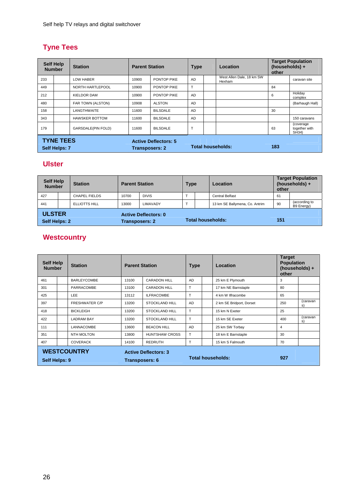# **Tyne Tees**

| <b>Self Help</b><br><b>Station</b><br><b>Number</b> |                  |                           | <b>Parent Station</b> |                             | <b>Type</b> |  | Location                            | <b>Target Population</b><br>(households) +<br>other |                                     |
|-----------------------------------------------------|------------------|---------------------------|-----------------------|-----------------------------|-------------|--|-------------------------------------|-----------------------------------------------------|-------------------------------------|
| 233                                                 |                  | <b>LOW HABER</b>          | 10900                 | PONTOP PIKE                 | AD          |  | West Allen Dale, 18 km SW<br>Hexham |                                                     | caravan site                        |
| 449                                                 |                  | NORTH HARTLEPOOL          | 10900                 | PONTOP PIKE                 | T           |  |                                     | 84                                                  |                                     |
| 212                                                 |                  | <b>KIELDOR DAM</b>        | 10900                 | PONTOP PIKE                 | AD          |  |                                     | 6                                                   | Holiday<br>complex                  |
| 480                                                 |                  | FAR TOWN (ALSTON)         | 10908                 | <b>ALSTON</b>               | AD          |  |                                     |                                                     | (Barhaugh Hall)                     |
| 158                                                 |                  | <b>LANGTHWAITE</b>        | 11600                 | <b>BILSDALE</b>             | AD          |  |                                     | 30                                                  |                                     |
| 343                                                 |                  | <b>HAWSKER BOTTOM</b>     | 11600                 | <b>BILSDALE</b>             | AD          |  |                                     |                                                     | 150 caravans                        |
| 179                                                 |                  | <b>GARSDALE(PIN FOLD)</b> | 11600                 | <b>BILSDALE</b>             | T           |  |                                     | 63                                                  | (coverage<br>together with<br>SH34) |
|                                                     | <b>TYNE TEES</b> |                           |                       | <b>Active Deflectors: 5</b> |             |  |                                     |                                                     |                                     |
| Self Helps: 7                                       |                  | <b>Transposers: 2</b>     |                       | Total households:           |             |  | 183                                 |                                                     |                                     |

## **Ulster**

| <b>Self Help</b><br><b>Number</b> |  | <b>Station</b>        |                             | <b>Parent Station</b> |  | <b>Type</b>              | Location                       | <b>Target Population</b><br>(households) +<br>other |                             |
|-----------------------------------|--|-----------------------|-----------------------------|-----------------------|--|--------------------------|--------------------------------|-----------------------------------------------------|-----------------------------|
| 427                               |  | <b>CHAPEL FIELDS</b>  | 10700                       | <b>DIVIS</b>          |  |                          | <b>Central Belfast</b>         | 61                                                  |                             |
| 441                               |  | <b>ELLIOTTS HILL</b>  | 13000                       | LIMAVADY              |  |                          | 13 km SE Ballymena, Co. Antrim | 90                                                  | (according to<br>B9 Energy) |
| <b>ULSTER</b><br>Self Helps: 2    |  | <b>Transposers: 2</b> | <b>Active Deflectors: 0</b> |                       |  | <b>Total households:</b> | 151                            |                                                     |                             |

# **Westcountry**

| <b>Self Help</b><br><b>Number</b>   |  | <b>Station</b>        | <b>Parent Station</b>       |                          | <b>Type</b> | Location                 | <b>Target</b><br><b>Population</b><br>(households) +<br>other |                |
|-------------------------------------|--|-----------------------|-----------------------------|--------------------------|-------------|--------------------------|---------------------------------------------------------------|----------------|
| 461                                 |  | <b>BARLEYCOMBE</b>    | 13100                       | <b>CARADON HILL</b>      | AD          | 25 km E Plymouth         | 3                                                             |                |
| 301                                 |  | <b>PARRACOMBE</b>     | 13100                       | <b>CARADON HILL</b>      | т           | 17 km NE Barnstaple      | 80                                                            |                |
| 425                                 |  | <b>LEE</b>            | 13112                       | <b>ILFRACOMBE</b>        | T.          | 4 km W Ilfracombe        | 65                                                            |                |
| 397                                 |  | <b>FRESHWATER C/P</b> | 13200                       | <b>STOCKLAND HILL</b>    | <b>AD</b>   | 2 km SE Bridport, Dorset | 250                                                           | (caravan<br>s) |
| 418                                 |  | <b>BICKLEIGH</b>      | 13200                       | STOCKLAND HILL           | T           | 15 km N Exeter           | 25                                                            |                |
| 422                                 |  | <b>LADRAM BAY</b>     | 13200                       | <b>STOCKLAND HILL</b>    | T           | 15 km SE Exeter          | 400                                                           | (caravan<br>s) |
| 111                                 |  | LANNACOMBE            | 13600                       | <b>BEACON HILL</b>       | <b>AD</b>   | 25 km SW Torbay          | $\overline{4}$                                                |                |
| 351                                 |  | <b>NTH MOLTON</b>     | 13800                       | HUNTSHAW CROSS           | T           | 18 km E Barnstaple       | 30                                                            |                |
| 407                                 |  | <b>COVERACK</b>       | 14100                       | <b>REDRUTH</b>           | T           | 15 km S Falmouth         | 70                                                            |                |
| <b>WESTCOUNTRY</b><br>Self Helps: 9 |  | Transposers: 6        | <b>Active Deflectors: 3</b> | <b>Total households:</b> |             | 927                      |                                                               |                |